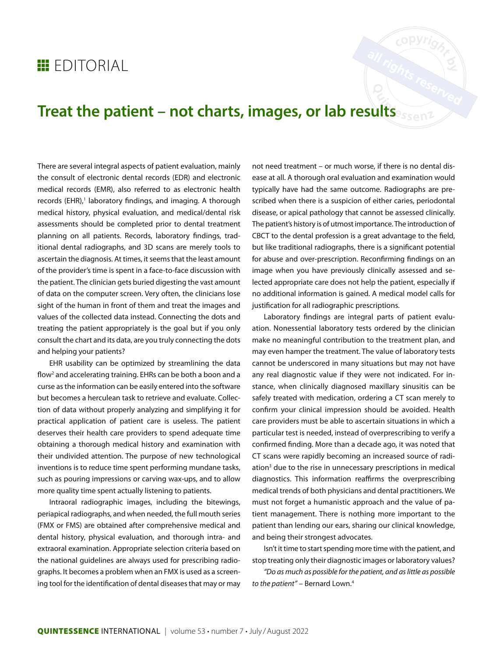## **EDITORIAL**

## **Treat the patient – not charts, images, or lab results**

There are several integral aspects of patient evaluation, mainly the consult of electronic dental records (EDR) and electronic medical records (EMR), also referred to as electronic health records (EHR),<sup>1</sup> laboratory findings, and imaging. A thorough medical history, physical evaluation, and medical/dental risk assessments should be completed prior to dental treatment planning on all patients. Records, laboratory findings, traditional dental radiographs, and 3D scans are merely tools to ascertain the diagnosis. At times, it seems that the least amount of the provider's time is spent in a face-to-face discussion with the patient. The clinician gets buried digesting the vast amount of data on the computer screen. Very often, the clinicians lose sight of the human in front of them and treat the images and values of the collected data instead. Connecting the dots and treating the patient appropriately is the goal but if you only consult the chart and its data, are you truly connecting the dots and helping your patients?

EHR usability can be optimized by streamlining the data flow<sup>2</sup> and accelerating training. EHRs can be both a boon and a curse as the information can be easily entered into the software but becomes a herculean task to retrieve and evaluate. Collection of data without properly analyzing and simplifying it for practical application of patient care is useless. The patient deserves their health care providers to spend adequate time obtaining a thorough medical history and examination with their undivided attention. The purpose of new technological inventions is to reduce time spent performing mundane tasks, such as pouring impressions or carving wax-ups, and to allow more quality time spent actually listening to patients.

Intraoral radiographic images, including the bitewings, periapical radiographs, and when needed, the full mouth series (FMX or FMS) are obtained after comprehensive medical and dental history, physical evaluation, and thorough intra- and extraoral examination. Appropriate selection criteria based on the national guidelines are always used for prescribing radiographs. It becomes a problem when an FMX is used as a screening tool for the identification of dental diseases that may or may

not need treatment – or much worse, if there is no dental disease at all. A thorough oral evaluation and examination would typically have had the same outcome. Radiographs are prescribed when there is a suspicion of either caries, periodontal disease, or apical pathology that cannot be assessed clinically. The patient's history is of utmost importance. The introduction of CBCT to the dental profession is a great advantage to the field, but like traditional radiographs, there is a significant potential for abuse and over-prescription. Reconfirming findings on an image when you have previously clinically assessed and selected appropriate care does not help the patient, especially if no additional information is gained. A medical model calls for justification for all radiographic prescriptions.

Laboratory findings are integral parts of patient evaluation. Nonessential laboratory tests ordered by the clinician make no meaningful contribution to the treatment plan, and may even hamper the treatment. The value of laboratory tests cannot be underscored in many situations but may not have any real diagnostic value if they were not indicated. For instance, when clinically diagnosed maxillary sinusitis can be safely treated with medication, ordering a CT scan merely to confirm your clinical impression should be avoided. Health care providers must be able to ascertain situations in which a particular test is needed, instead of overprescribing to verify a confirmed finding. More than a decade ago, it was noted that CT scans were rapidly becoming an increased source of radiation<sup>3</sup> due to the rise in unnecessary prescriptions in medical diagnostics. This information reaffirms the overprescribing medical trends of both physicians and dental practitioners. We must not forget a humanistic approach and the value of patient management. There is nothing more important to the patient than lending our ears, sharing our clinical knowledge, and being their strongest advocates.

Isn't it time to start spending more time with the patient, and stop treating only their diagnostic images or laboratory values?

*"Do as much as possible for the patient, and as little as possible to the patient"* – Bernard Lown.4